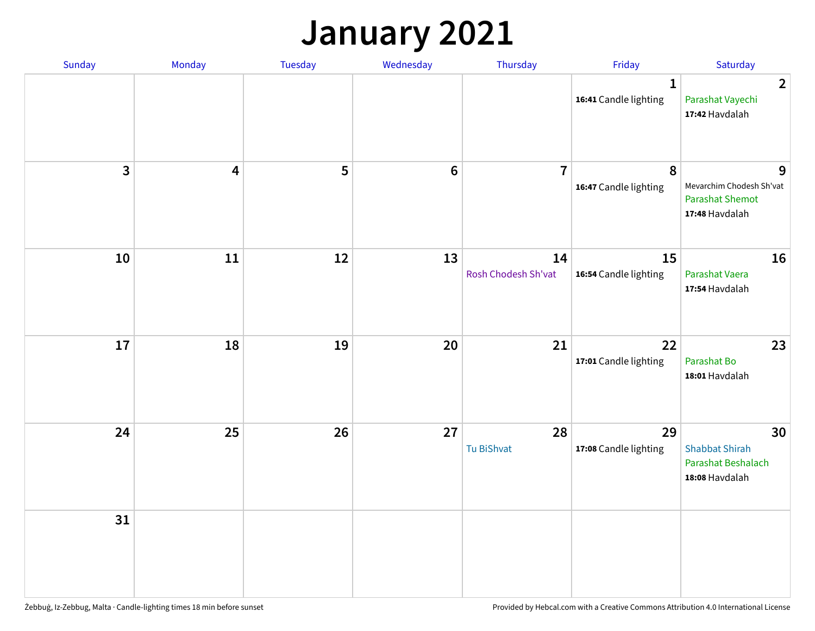### **January 2021**

| Sunday                  | Monday                  | <b>Tuesday</b> | Wednesday | Thursday                  | Friday                                | Saturday                                                                  |
|-------------------------|-------------------------|----------------|-----------|---------------------------|---------------------------------------|---------------------------------------------------------------------------|
|                         |                         |                |           |                           | $\mathbf{1}$<br>16:41 Candle lighting | $\overline{2}$<br>Parashat Vayechi<br>17:42 Havdalah                      |
| $\overline{\mathbf{3}}$ | $\overline{\mathbf{4}}$ | 5              | $\bf 6$   | $\overline{7}$            | 8<br>16:47 Candle lighting            | 9<br>Mevarchim Chodesh Sh'vat<br><b>Parashat Shemot</b><br>17:48 Havdalah |
| 10                      | 11                      | 12             | 13        | 14<br>Rosh Chodesh Sh'vat | 15<br>16:54 Candle lighting           | 16<br>Parashat Vaera<br>17:54 Havdalah                                    |
| 17                      | 18                      | 19             | 20        | 21                        | 22<br>17:01 Candle lighting           | 23<br>Parashat Bo<br>18:01 Havdalah                                       |
| 24                      | 25                      | 26             | 27        | 28<br>Tu BiShvat          | 29<br>17:08 Candle lighting           | 30<br><b>Shabbat Shirah</b><br>Parashat Beshalach<br>18:08 Havdalah       |
| 31                      |                         |                |           |                           |                                       |                                                                           |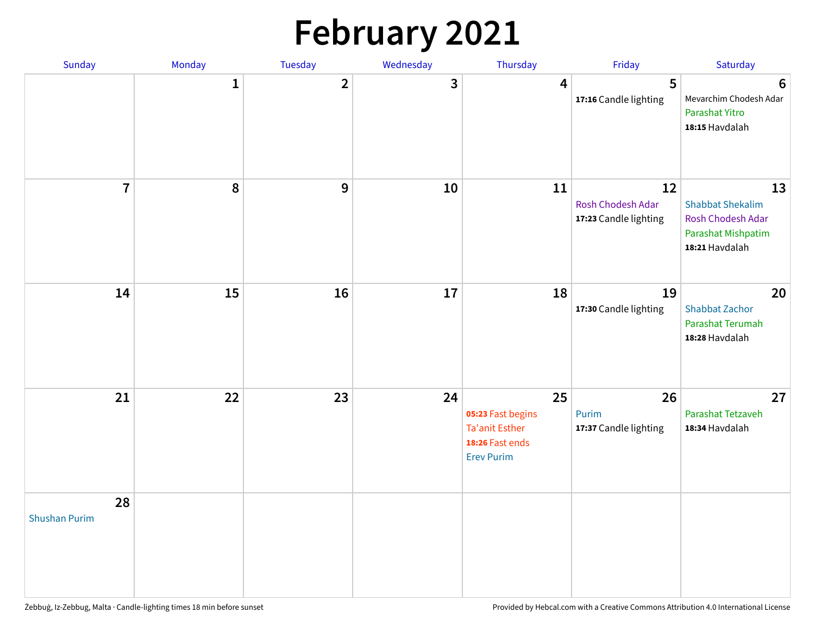# **February 2021**

| Sunday                     | Monday       | Tuesday        | Wednesday | Thursday                                                                                 | Friday                                           | Saturday                                                                                   |
|----------------------------|--------------|----------------|-----------|------------------------------------------------------------------------------------------|--------------------------------------------------|--------------------------------------------------------------------------------------------|
|                            | $\mathbf{1}$ | $\overline{2}$ | 3         | 4                                                                                        | 5<br>17:16 Candle lighting                       | $6\phantom{1}6$<br>Mevarchim Chodesh Adar<br>Parashat Yitro<br>18:15 Havdalah              |
| $\overline{7}$             | ${\bf 8}$    | $\mathbf{9}$   | 10        | 11                                                                                       | 12<br>Rosh Chodesh Adar<br>17:23 Candle lighting | 13<br><b>Shabbat Shekalim</b><br>Rosh Chodesh Adar<br>Parashat Mishpatim<br>18:21 Havdalah |
| 14                         | 15           | 16             | 17        | 18                                                                                       | 19<br>17:30 Candle lighting                      | 20<br><b>Shabbat Zachor</b><br>Parashat Terumah<br>18:28 Havdalah                          |
| 21                         | 22           | 23             | 24        | 25<br>05:23 Fast begins<br><b>Ta'anit Esther</b><br>18:26 Fast ends<br><b>Erev Purim</b> | 26<br>Purim<br>17:37 Candle lighting             | 27<br>Parashat Tetzaveh<br>18:34 Havdalah                                                  |
| 28<br><b>Shushan Purim</b> |              |                |           |                                                                                          |                                                  |                                                                                            |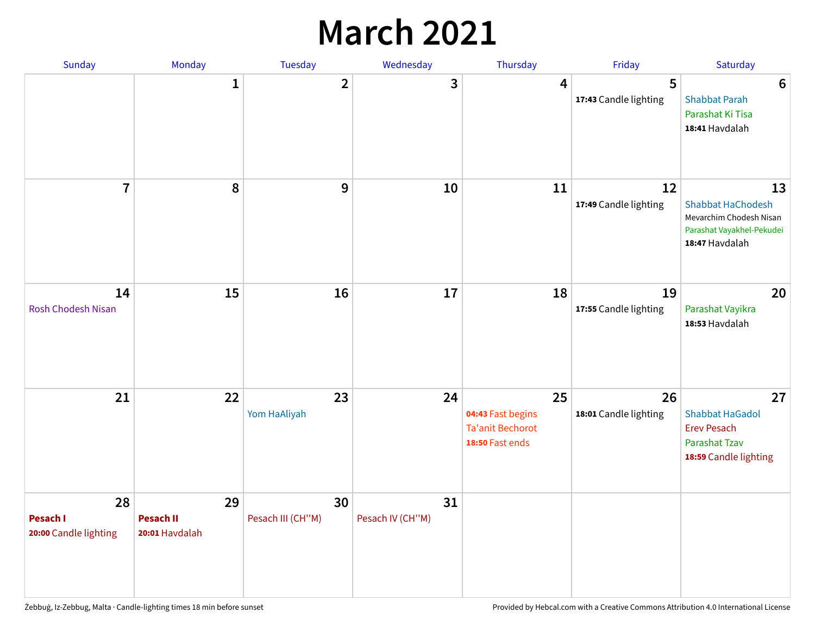### **March 2021**

| Sunday                                  | Monday                                   | <b>Tuesday</b>          | Wednesday              | Thursday                                                              | Friday                      | Saturday                                                                                                 |
|-----------------------------------------|------------------------------------------|-------------------------|------------------------|-----------------------------------------------------------------------|-----------------------------|----------------------------------------------------------------------------------------------------------|
|                                         | $\mathbf{1}$                             | $\overline{2}$          | 3                      | 4                                                                     | 5<br>17:43 Candle lighting  | $6\phantom{1}6$<br><b>Shabbat Parah</b><br>Parashat Ki Tisa<br>18:41 Havdalah                            |
| $\overline{7}$                          | 8                                        | 9                       | 10                     | 11                                                                    | 12<br>17:49 Candle lighting | 13<br><b>Shabbat HaChodesh</b><br>Mevarchim Chodesh Nisan<br>Parashat Vayakhel-Pekudei<br>18:47 Havdalah |
| 14<br><b>Rosh Chodesh Nisan</b>         | 15                                       | 16                      | 17                     | 18                                                                    | 19<br>17:55 Candle lighting | 20<br>Parashat Vayikra<br>18:53 Havdalah                                                                 |
| 21                                      | 22                                       | 23<br>Yom HaAliyah      | 24                     | 25<br>04:43 Fast begins<br><b>Ta'anit Bechorot</b><br>18:50 Fast ends | 26<br>18:01 Candle lighting | 27<br><b>Shabbat HaGadol</b><br><b>Erev Pesach</b><br>Parashat Tzav<br>18:59 Candle lighting             |
| 28<br>Pesach I<br>20:00 Candle lighting | 29<br><b>Pesach II</b><br>20:01 Havdalah | 30<br>Pesach III (CH"M) | 31<br>Pesach IV (CH"M) |                                                                       |                             |                                                                                                          |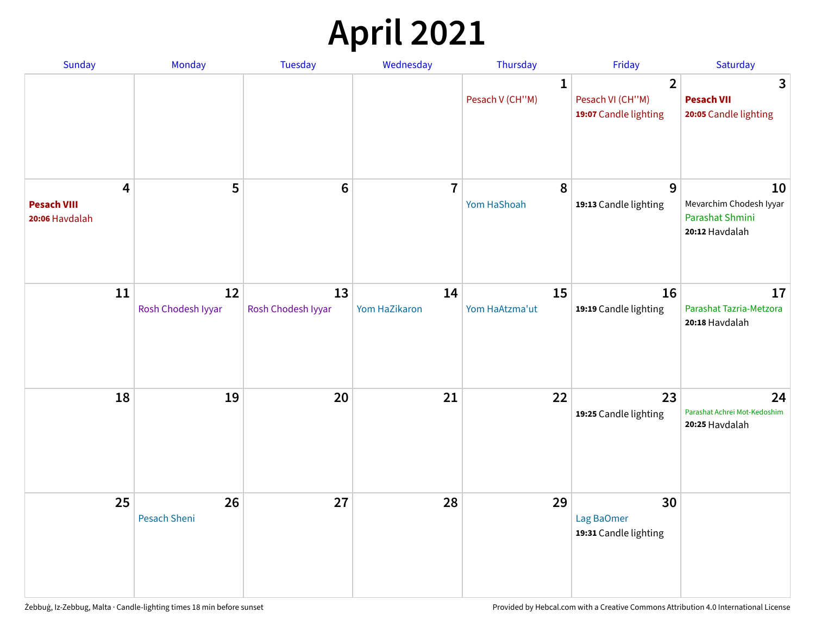# **April 2021**

| Sunday                                                          | Monday                   | Tuesday                  | Wednesday           | Thursday                        | Friday                                                      | Saturday                                                           |
|-----------------------------------------------------------------|--------------------------|--------------------------|---------------------|---------------------------------|-------------------------------------------------------------|--------------------------------------------------------------------|
|                                                                 |                          |                          |                     | $\mathbf{1}$<br>Pesach V (CH"M) | $\overline{2}$<br>Pesach VI (CH"M)<br>19:07 Candle lighting | 3<br><b>Pesach VII</b><br>20:05 Candle lighting                    |
| $\overline{\mathbf{4}}$<br><b>Pesach VIII</b><br>20:06 Havdalah | 5                        | $6\phantom{1}6$          | $\overline{7}$      | 8<br>Yom HaShoah                | 9<br>19:13 Candle lighting                                  | 10<br>Mevarchim Chodesh Iyyar<br>Parashat Shmini<br>20:12 Havdalah |
| 11                                                              | 12<br>Rosh Chodesh Iyyar | 13<br>Rosh Chodesh Iyyar | 14<br>Yom HaZikaron | 15<br>Yom HaAtzma'ut            | 16<br>19:19 Candle lighting                                 | 17<br>Parashat Tazria-Metzora<br>20:18 Havdalah                    |
| 18                                                              | 19                       | 20                       | 21                  | 22                              | 23<br>19:25 Candle lighting                                 | 24<br>Parashat Achrei Mot-Kedoshim<br>20:25 Havdalah               |
| 25                                                              | 26<br>Pesach Sheni       | 27                       | 28                  | 29                              | 30<br>Lag BaOmer<br>19:31 Candle lighting                   |                                                                    |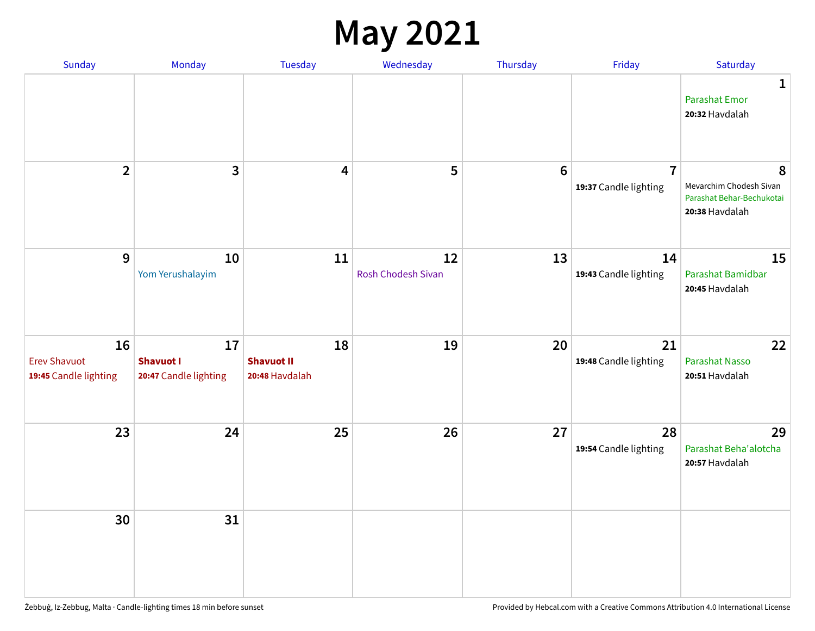#### **May 2021**

| Sunday                                             | Monday                                          | Tuesday                                   | Wednesday                       | Thursday        | Friday                                  | Saturday                                                                    |
|----------------------------------------------------|-------------------------------------------------|-------------------------------------------|---------------------------------|-----------------|-----------------------------------------|-----------------------------------------------------------------------------|
|                                                    |                                                 |                                           |                                 |                 |                                         | $\mathbf{1}$<br><b>Parashat Emor</b><br>20:32 Havdalah                      |
| $\overline{2}$                                     | 3                                               | 4                                         | 5                               | $6\phantom{1}6$ | $\overline{7}$<br>19:37 Candle lighting | 8<br>Mevarchim Chodesh Sivan<br>Parashat Behar-Bechukotai<br>20:38 Havdalah |
| $\overline{9}$                                     | 10<br>Yom Yerushalayim                          | 11                                        | 12<br><b>Rosh Chodesh Sivan</b> | 13              | 14<br>19:43 Candle lighting             | 15<br>Parashat Bamidbar<br>20:45 Havdalah                                   |
| 16<br><b>Erev Shavuot</b><br>19:45 Candle lighting | 17<br><b>Shavuot I</b><br>20:47 Candle lighting | 18<br><b>Shavuot II</b><br>20:48 Havdalah | 19                              | 20              | 21<br>19:48 Candle lighting             | 22<br>Parashat Nasso<br>20:51 Havdalah                                      |
| 23                                                 | 24                                              | 25                                        | 26                              | 27              | 28<br>19:54 Candle lighting             | 29<br>Parashat Beha'alotcha<br>20:57 Havdalah                               |
| 30                                                 | 31                                              |                                           |                                 |                 |                                         |                                                                             |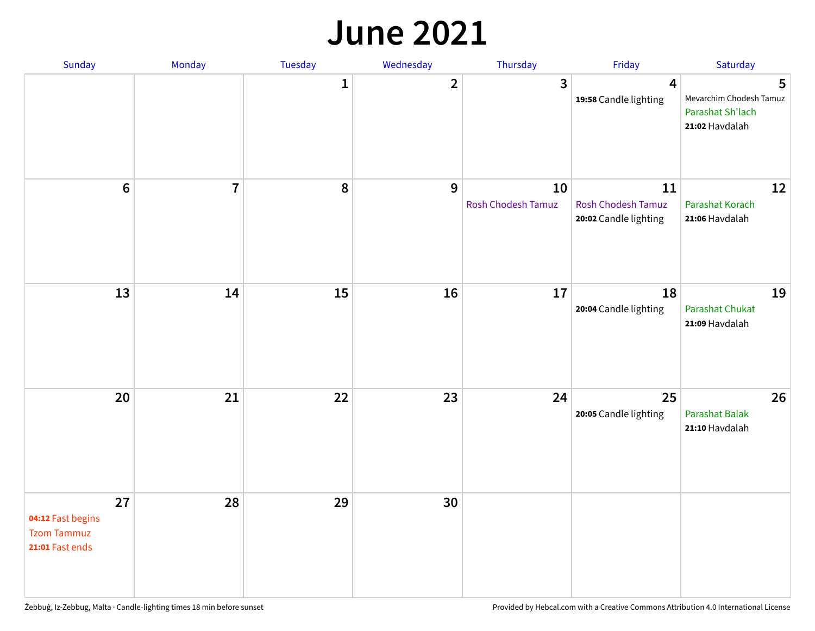#### **June 2021**

| Sunday                                                           | Monday         | Tuesday      | Wednesday    | Thursday                 | Friday                                            | Saturday                                                           |
|------------------------------------------------------------------|----------------|--------------|--------------|--------------------------|---------------------------------------------------|--------------------------------------------------------------------|
|                                                                  |                | $\mathbf{1}$ | $\mathbf{2}$ | $\mathbf{3}$             | $\overline{\mathbf{4}}$<br>19:58 Candle lighting  | 5<br>Mevarchim Chodesh Tamuz<br>Parashat Sh'lach<br>21:02 Havdalah |
| $\boldsymbol{6}$                                                 | $\overline{7}$ | 8            | 9            | 10<br>Rosh Chodesh Tamuz | 11<br>Rosh Chodesh Tamuz<br>20:02 Candle lighting | 12<br>Parashat Korach<br>21:06 Havdalah                            |
| 13                                                               | 14             | 15           | 16           | 17                       | 18<br>20:04 Candle lighting                       | 19<br><b>Parashat Chukat</b><br>21:09 Havdalah                     |
| 20                                                               | 21             | 22           | 23           | 24                       | 25<br>20:05 Candle lighting                       | 26<br>Parashat Balak<br>21:10 Havdalah                             |
| 27<br>04:12 Fast begins<br><b>Tzom Tammuz</b><br>21:01 Fast ends | 28             | 29           | 30           |                          |                                                   |                                                                    |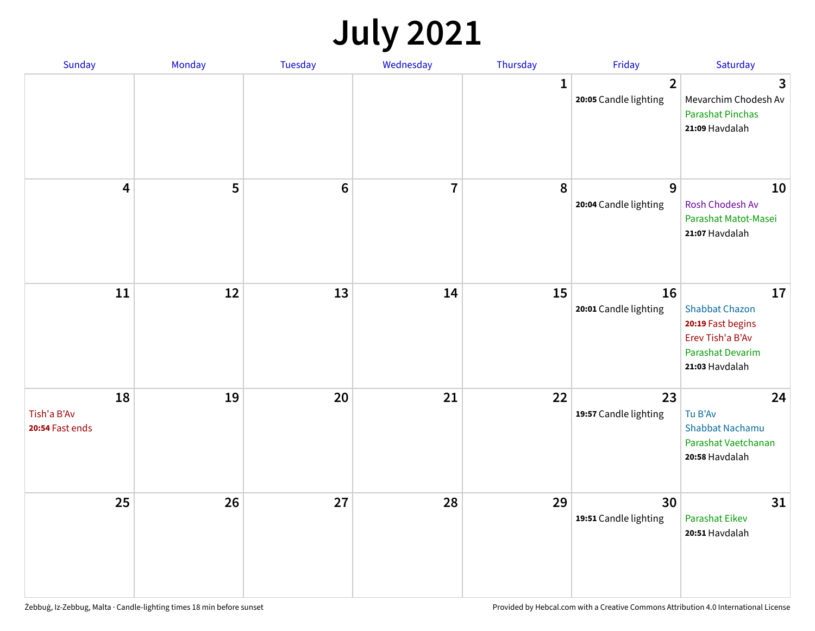# **July 2021**

| Sunday                               | Monday | Tuesday        | Wednesday               | Thursday     | Friday                                  | Saturday                                                                                                          |
|--------------------------------------|--------|----------------|-------------------------|--------------|-----------------------------------------|-------------------------------------------------------------------------------------------------------------------|
|                                      |        |                |                         | $\mathbf{1}$ | $\overline{2}$<br>20:05 Candle lighting | 3<br>Mevarchim Chodesh Av<br><b>Parashat Pinchas</b><br>21:09 Havdalah                                            |
| 4                                    | 5      | $6\phantom{1}$ | $\overline{\mathbf{r}}$ | 8            | 9<br>20:04 Candle lighting              | 10<br>Rosh Chodesh Av<br>Parashat Matot-Masei<br>21:07 Havdalah                                                   |
| 11                                   | 12     | 13             | 14                      | 15           | 16<br>20:01 Candle lighting             | 17<br><b>Shabbat Chazon</b><br>20:19 Fast begins<br>Erev Tish'a B'Av<br><b>Parashat Devarim</b><br>21:03 Havdalah |
| 18<br>Tish'a B'Av<br>20:54 Fast ends | 19     | 20             | 21                      | 22           | 23<br>19:57 Candle lighting             | 24<br>Tu B'Av<br>Shabbat Nachamu<br>Parashat Vaetchanan<br>20:58 Havdalah                                         |
| 25                                   | 26     | 27             | 28                      | 29           | 30<br>19:51 Candle lighting             | 31<br><b>Parashat Eikev</b><br>20:51 Havdalah                                                                     |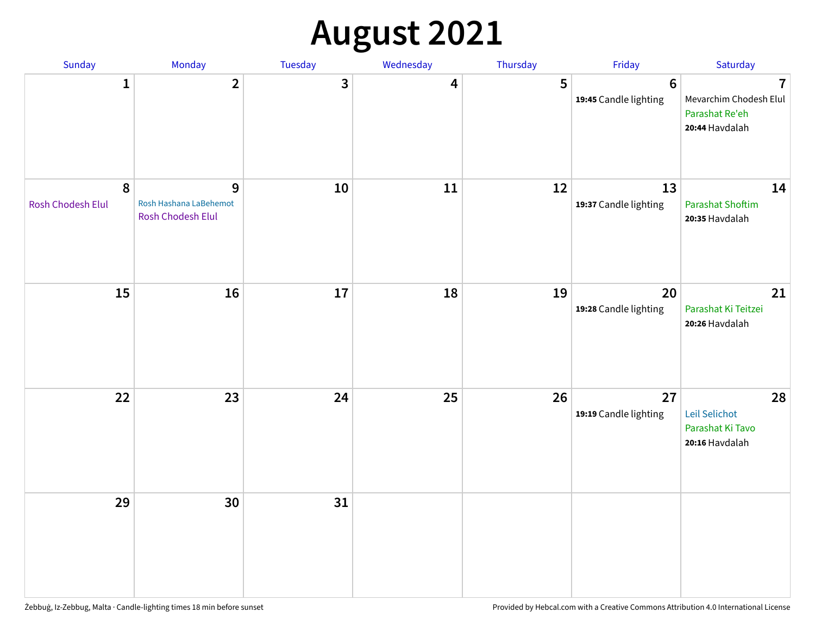# **August 2021**

| Sunday                                | Monday                                           | Tuesday | Wednesday | Thursday | Friday                                   | Saturday                                                                     |
|---------------------------------------|--------------------------------------------------|---------|-----------|----------|------------------------------------------|------------------------------------------------------------------------------|
| $\mathbf{1}$                          | $\mathbf{2}$                                     | 3       | 4         | 5        | $6\phantom{1}6$<br>19:45 Candle lighting | $\overline{1}$<br>Mevarchim Chodesh Elul<br>Parashat Re'eh<br>20:44 Havdalah |
| $\boldsymbol{8}$<br>Rosh Chodesh Elul | 9<br>Rosh Hashana LaBehemot<br>Rosh Chodesh Elul | $10\,$  | 11        | 12       | 13<br>19:37 Candle lighting              | 14<br><b>Parashat Shoftim</b><br>20:35 Havdalah                              |
| 15                                    | 16                                               | 17      | 18        | 19       | 20<br>19:28 Candle lighting              | 21<br>Parashat Ki Teitzei<br>20:26 Havdalah                                  |
| 22                                    | 23                                               | 24      | 25        | 26       | 27<br>19:19 Candle lighting              | 28<br>Leil Selichot<br>Parashat Ki Tavo<br>20:16 Havdalah                    |
| 29                                    | 30                                               | 31      |           |          |                                          |                                                                              |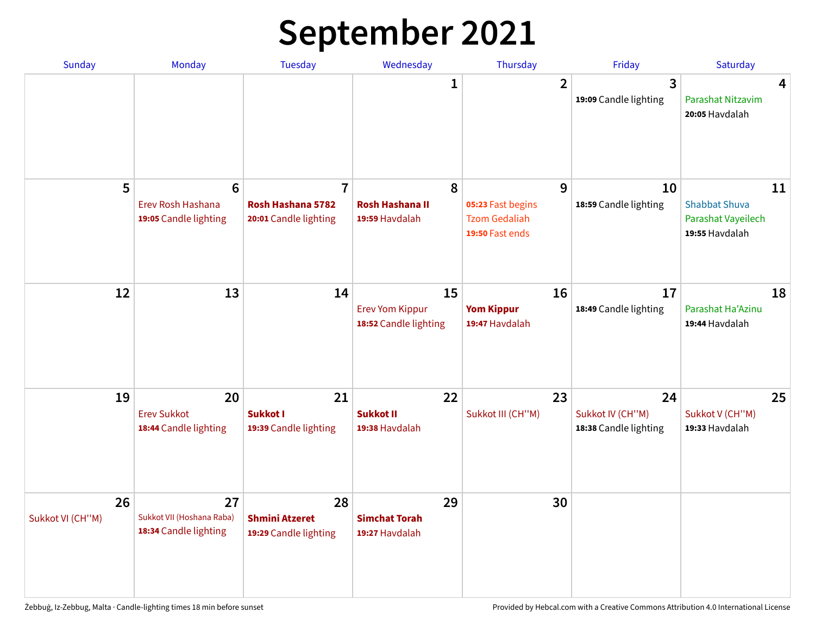# **September 2021**

| <b>Sunday</b>          | <b>Monday</b>                                                 | <b>Tuesday</b>                                               | Wednesday                                             | Thursday                                                          | Friday                                          | Saturday                                                           |
|------------------------|---------------------------------------------------------------|--------------------------------------------------------------|-------------------------------------------------------|-------------------------------------------------------------------|-------------------------------------------------|--------------------------------------------------------------------|
|                        |                                                               |                                                              | 1                                                     | $\overline{2}$                                                    | 3<br>19:09 Candle lighting                      | 4<br>Parashat Nitzavim<br>20:05 Havdalah                           |
| 5                      | $6\phantom{1}6$<br>Erev Rosh Hashana<br>19:05 Candle lighting | $\overline{7}$<br>Rosh Hashana 5782<br>20:01 Candle lighting | 8<br><b>Rosh Hashana II</b><br>19:59 Havdalah         | 9<br>05:23 Fast begins<br><b>Tzom Gedaliah</b><br>19:50 Fast ends | 10<br>18:59 Candle lighting                     | 11<br><b>Shabbat Shuva</b><br>Parashat Vayeilech<br>19:55 Havdalah |
| 12                     | 13                                                            | 14                                                           | 15<br><b>Erev Yom Kippur</b><br>18:52 Candle lighting | 16<br><b>Yom Kippur</b><br>19:47 Havdalah                         | 17<br>18:49 Candle lighting                     | 18<br>Parashat Ha'Azinu<br>19:44 Havdalah                          |
| 19                     | 20<br><b>Erev Sukkot</b><br>18:44 Candle lighting             | 21<br><b>Sukkot I</b><br>19:39 Candle lighting               | 22<br><b>Sukkot II</b><br>19:38 Havdalah              | 23<br>Sukkot III (CH"M)                                           | 24<br>Sukkot IV (CH"M)<br>18:38 Candle lighting | 25<br>Sukkot V (CH"M)<br>19:33 Havdalah                            |
| 26<br>Sukkot VI (CH"M) | 27<br>Sukkot VII (Hoshana Raba)<br>18:34 Candle lighting      | 28<br><b>Shmini Atzeret</b><br>19:29 Candle lighting         | 29<br><b>Simchat Torah</b><br>19:27 Havdalah          | 30                                                                |                                                 |                                                                    |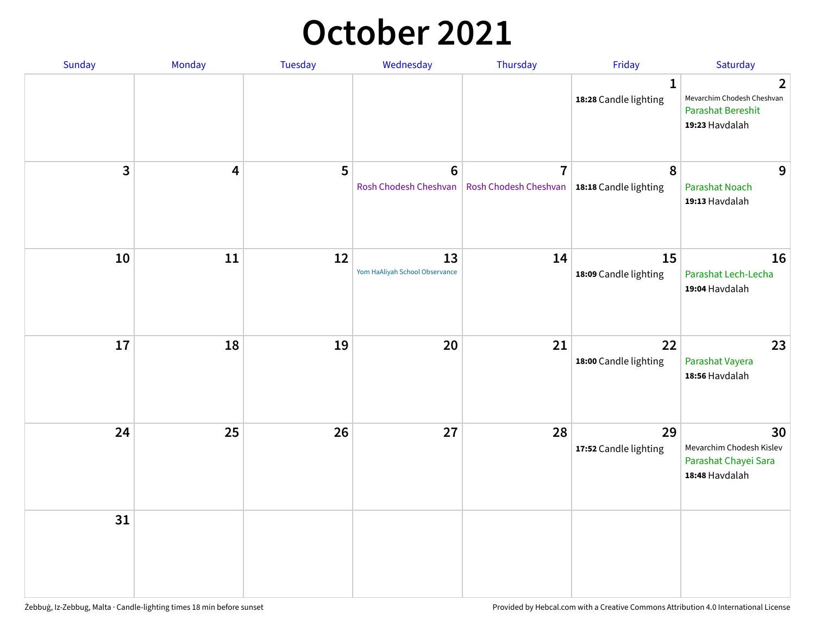### **October 2021**

| Sunday       | Monday | Tuesday | Wednesday                            | Thursday                                                        | Friday                                | Saturday                                                                                   |
|--------------|--------|---------|--------------------------------------|-----------------------------------------------------------------|---------------------------------------|--------------------------------------------------------------------------------------------|
|              |        |         |                                      |                                                                 | $\mathbf{1}$<br>18:28 Candle lighting | $\overline{2}$<br>Mevarchim Chodesh Cheshvan<br><b>Parashat Bereshit</b><br>19:23 Havdalah |
| $\mathbf{3}$ | 4      | 5       | $\bf 6$<br>Rosh Chodesh Cheshvan     | $\overline{7}$<br>Rosh Chodesh Cheshvan   18:18 Candle lighting | 8                                     | 9<br><b>Parashat Noach</b><br>19:13 Havdalah                                               |
| 10           | 11     | 12      | 13<br>Yom HaAliyah School Observance | 14                                                              | 15<br>18:09 Candle lighting           | 16<br>Parashat Lech-Lecha<br>19:04 Havdalah                                                |
| 17           | 18     | 19      | 20                                   | 21                                                              | 22<br>18:00 Candle lighting           | 23<br>Parashat Vayera<br>18:56 Havdalah                                                    |
| 24           | 25     | 26      | 27                                   | 28                                                              | 29<br>17:52 Candle lighting           | 30<br>Mevarchim Chodesh Kislev<br>Parashat Chayei Sara<br>18:48 Havdalah                   |
| 31           |        |         |                                      |                                                                 |                                       |                                                                                            |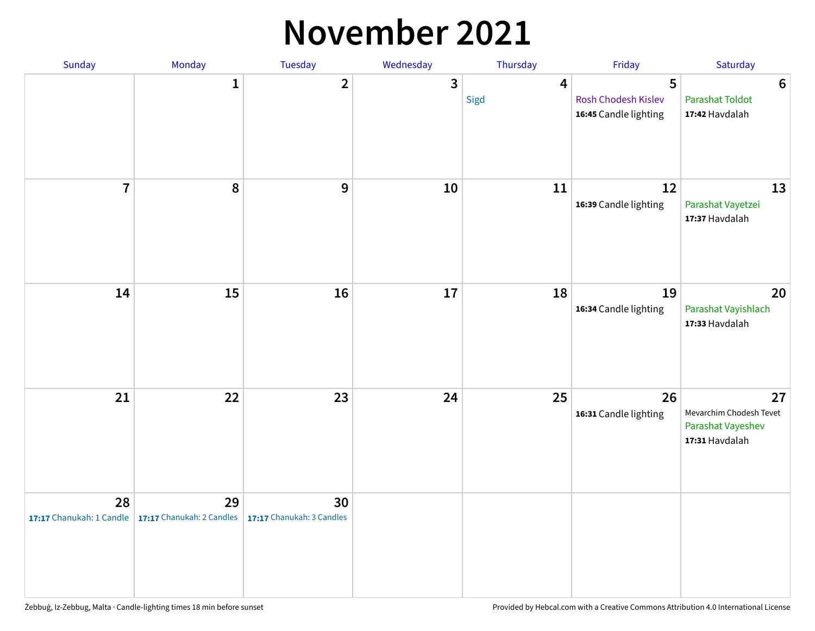#### **November 2021**

| Sunday         | Monday                                                   | Tuesday                         | Wednesday    | Thursday               | Friday                                            | Saturday                                                             |
|----------------|----------------------------------------------------------|---------------------------------|--------------|------------------------|---------------------------------------------------|----------------------------------------------------------------------|
|                | $\mathbf{1}$                                             | $\mathbf{2}$                    | $\mathbf{3}$ | $\overline{4}$<br>Sigd | 5<br>Rosh Chodesh Kislev<br>16:45 Candle lighting | $\boldsymbol{6}$<br><b>Parashat Toldot</b><br>17:42 Havdalah         |
| $\overline{7}$ | 8                                                        | 9                               | ${\bf 10}$   | 11                     | 12<br>16:39 Candle lighting                       | 13<br>Parashat Vayetzei<br>17:37 Havdalah                            |
| 14             | 15                                                       | 16                              | 17           | 18                     | 19<br>16:34 Candle lighting                       | 20<br>Parashat Vayishlach<br>17:33 Havdalah                          |
| 21             | 22                                                       | 23                              | 24           | 25                     | 26<br>16:31 Candle lighting                       | 27<br>Mevarchim Chodesh Tevet<br>Parashat Vayeshev<br>17:31 Havdalah |
| 28             | 29<br>17:17 Chanukah: 1 Candle 17:17 Chanukah: 2 Candles | 30<br>17:17 Chanukah: 3 Candles |              |                        |                                                   |                                                                      |